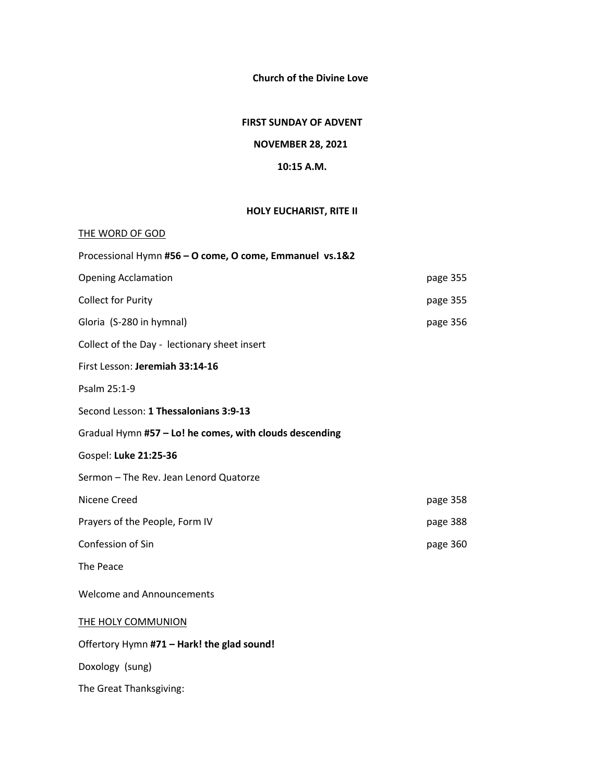**Church of the Divine Love**

### **FIRST SUNDAY OF ADVENT**

# **NOVEMBER 28, 2021**

### **10:15 A.M.**

## **HOLY EUCHARIST, RITE II**

| THE WORD OF GOD                                         |          |  |  |  |
|---------------------------------------------------------|----------|--|--|--|
| Processional Hymn #56 - O come, O come, Emmanuel vs.1&2 |          |  |  |  |
| <b>Opening Acclamation</b>                              | page 355 |  |  |  |
| <b>Collect for Purity</b>                               | page 355 |  |  |  |
| Gloria (S-280 in hymnal)                                | page 356 |  |  |  |
| Collect of the Day - lectionary sheet insert            |          |  |  |  |
| First Lesson: Jeremiah 33:14-16                         |          |  |  |  |
| Psalm 25:1-9                                            |          |  |  |  |
| Second Lesson: 1 Thessalonians 3:9-13                   |          |  |  |  |
| Gradual Hymn #57 - Lo! he comes, with clouds descending |          |  |  |  |
| Gospel: Luke 21:25-36                                   |          |  |  |  |
| Sermon - The Rev. Jean Lenord Quatorze                  |          |  |  |  |
| Nicene Creed                                            | page 358 |  |  |  |
| Prayers of the People, Form IV                          | page 388 |  |  |  |
| Confession of Sin                                       | page 360 |  |  |  |
| The Peace                                               |          |  |  |  |
| <b>Welcome and Announcements</b>                        |          |  |  |  |
| <b>THE HOLY COMMUNION</b>                               |          |  |  |  |
| Offertory Hymn #71 - Hark! the glad sound!              |          |  |  |  |
| Doxology (sung)                                         |          |  |  |  |
| The Great Thanksgiving:                                 |          |  |  |  |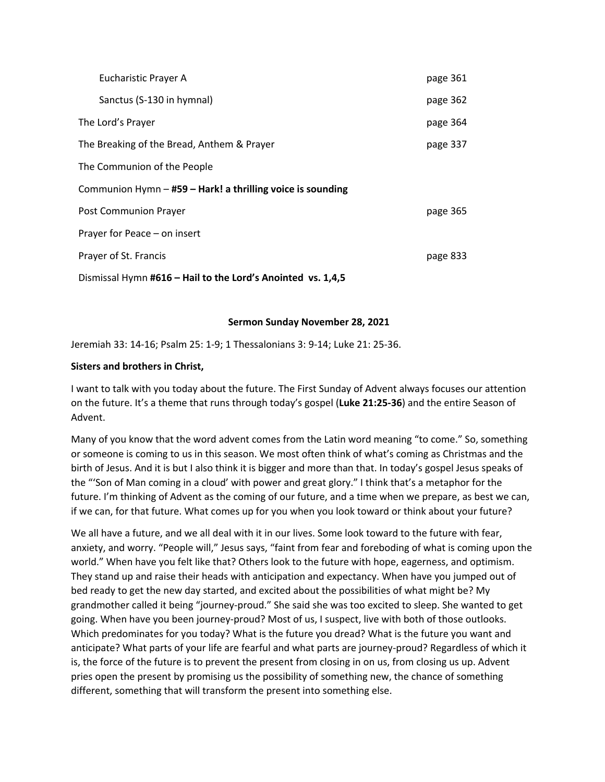| Eucharistic Prayer A                                        | page 361 |  |  |  |
|-------------------------------------------------------------|----------|--|--|--|
| Sanctus (S-130 in hymnal)                                   | page 362 |  |  |  |
| The Lord's Prayer                                           | page 364 |  |  |  |
| The Breaking of the Bread, Anthem & Prayer                  | page 337 |  |  |  |
| The Communion of the People                                 |          |  |  |  |
| Communion Hymn - #59 - Hark! a thrilling voice is sounding  |          |  |  |  |
| Post Communion Prayer                                       | page 365 |  |  |  |
| Prayer for Peace – on insert                                |          |  |  |  |
| Prayer of St. Francis                                       | page 833 |  |  |  |
| Dismissal Hymn #616 - Hail to the Lord's Anointed vs. 1,4,5 |          |  |  |  |

#### **Sermon Sunday November 28, 2021**

Jeremiah 33: 14-16; Psalm 25: 1-9; 1 Thessalonians 3: 9-14; Luke 21: 25-36.

#### **Sisters and brothers in Christ,**

I want to talk with you today about the future. The First Sunday of Advent always focuses our attention on the future. It's a theme that runs through today's gospel (**Luke 21:25-36**) and the entire Season of Advent.

Many of you know that the word advent comes from the Latin word meaning "to come." So, something or someone is coming to us in this season. We most often think of what's coming as Christmas and the birth of Jesus. And it is but I also think it is bigger and more than that. In today's gospel Jesus speaks of the "'Son of Man coming in a cloud' with power and great glory." I think that's a metaphor for the future. I'm thinking of Advent as the coming of our future, and a time when we prepare, as best we can, if we can, for that future. What comes up for you when you look toward or think about your future?

We all have a future, and we all deal with it in our lives. Some look toward to the future with fear, anxiety, and worry. "People will," Jesus says, "faint from fear and foreboding of what is coming upon the world." When have you felt like that? Others look to the future with hope, eagerness, and optimism. They stand up and raise their heads with anticipation and expectancy. When have you jumped out of bed ready to get the new day started, and excited about the possibilities of what might be? My grandmother called it being "journey-proud." She said she was too excited to sleep. She wanted to get going. When have you been journey-proud? Most of us, I suspect, live with both of those outlooks. Which predominates for you today? What is the future you dread? What is the future you want and anticipate? What parts of your life are fearful and what parts are journey-proud? Regardless of which it is, the force of the future is to prevent the present from closing in on us, from closing us up. Advent pries open the present by promising us the possibility of something new, the chance of something different, something that will transform the present into something else.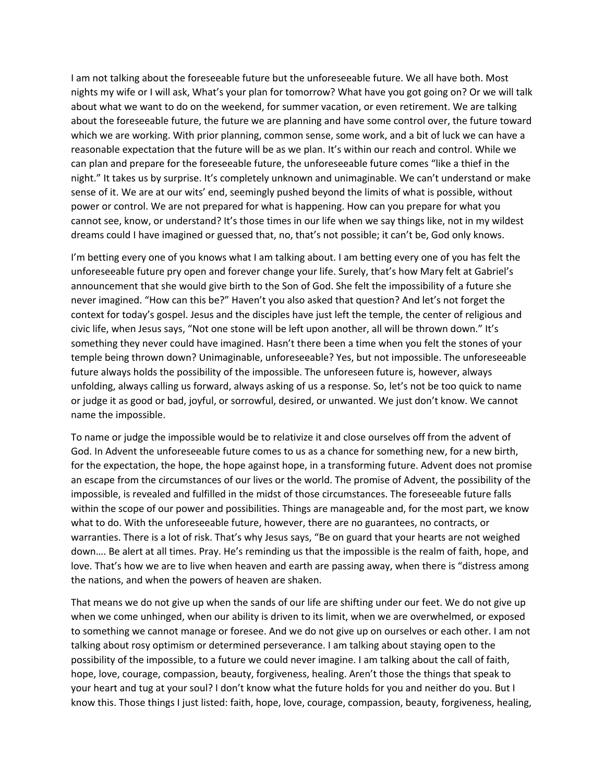I am not talking about the foreseeable future but the unforeseeable future. We all have both. Most nights my wife or I will ask, What's your plan for tomorrow? What have you got going on? Or we will talk about what we want to do on the weekend, for summer vacation, or even retirement. We are talking about the foreseeable future, the future we are planning and have some control over, the future toward which we are working. With prior planning, common sense, some work, and a bit of luck we can have a reasonable expectation that the future will be as we plan. It's within our reach and control. While we can plan and prepare for the foreseeable future, the unforeseeable future comes "like a thief in the night." It takes us by surprise. It's completely unknown and unimaginable. We can't understand or make sense of it. We are at our wits' end, seemingly pushed beyond the limits of what is possible, without power or control. We are not prepared for what is happening. How can you prepare for what you cannot see, know, or understand? It's those times in our life when we say things like, not in my wildest dreams could I have imagined or guessed that, no, that's not possible; it can't be, God only knows.

I'm betting every one of you knows what I am talking about. I am betting every one of you has felt the unforeseeable future pry open and forever change your life. Surely, that's how Mary felt at Gabriel's announcement that she would give birth to the Son of God. She felt the impossibility of a future she never imagined. "How can this be?" Haven't you also asked that question? And let's not forget the context for today's gospel. Jesus and the disciples have just left the temple, the center of religious and civic life, when Jesus says, "Not one stone will be left upon another, all will be thrown down." It's something they never could have imagined. Hasn't there been a time when you felt the stones of your temple being thrown down? Unimaginable, unforeseeable? Yes, but not impossible. The unforeseeable future always holds the possibility of the impossible. The unforeseen future is, however, always unfolding, always calling us forward, always asking of us a response. So, let's not be too quick to name or judge it as good or bad, joyful, or sorrowful, desired, or unwanted. We just don't know. We cannot name the impossible.

To name or judge the impossible would be to relativize it and close ourselves off from the advent of God. In Advent the unforeseeable future comes to us as a chance for something new, for a new birth, for the expectation, the hope, the hope against hope, in a transforming future. Advent does not promise an escape from the circumstances of our lives or the world. The promise of Advent, the possibility of the impossible, is revealed and fulfilled in the midst of those circumstances. The foreseeable future falls within the scope of our power and possibilities. Things are manageable and, for the most part, we know what to do. With the unforeseeable future, however, there are no guarantees, no contracts, or warranties. There is a lot of risk. That's why Jesus says, "Be on guard that your hearts are not weighed down…. Be alert at all times. Pray. He's reminding us that the impossible is the realm of faith, hope, and love. That's how we are to live when heaven and earth are passing away, when there is "distress among the nations, and when the powers of heaven are shaken.

That means we do not give up when the sands of our life are shifting under our feet. We do not give up when we come unhinged, when our ability is driven to its limit, when we are overwhelmed, or exposed to something we cannot manage or foresee. And we do not give up on ourselves or each other. I am not talking about rosy optimism or determined perseverance. I am talking about staying open to the possibility of the impossible, to a future we could never imagine. I am talking about the call of faith, hope, love, courage, compassion, beauty, forgiveness, healing. Aren't those the things that speak to your heart and tug at your soul? I don't know what the future holds for you and neither do you. But I know this. Those things I just listed: faith, hope, love, courage, compassion, beauty, forgiveness, healing,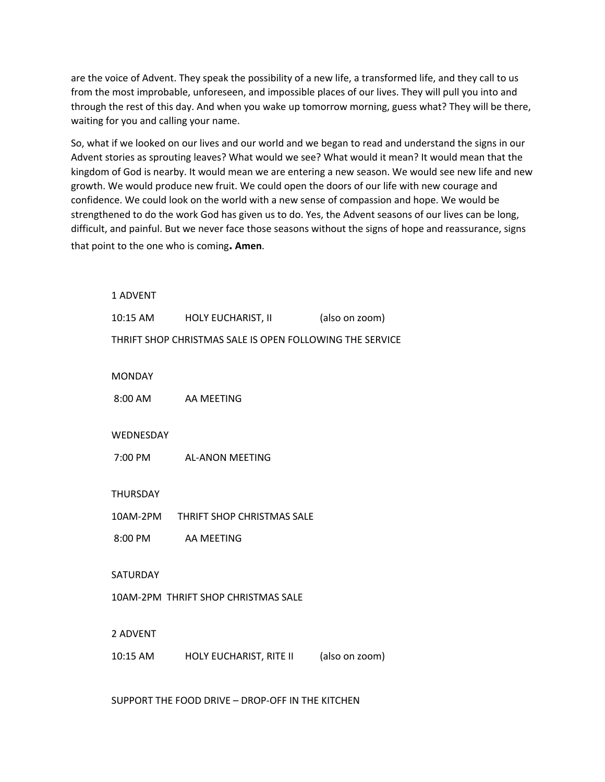are the voice of Advent. They speak the possibility of a new life, a transformed life, and they call to us from the most improbable, unforeseen, and impossible places of our lives. They will pull you into and through the rest of this day. And when you wake up tomorrow morning, guess what? They will be there, waiting for you and calling your name.

So, what if we looked on our lives and our world and we began to read and understand the signs in our Advent stories as sprouting leaves? What would we see? What would it mean? It would mean that the kingdom of God is nearby. It would mean we are entering a new season. We would see new life and new growth. We would produce new fruit. We could open the doors of our life with new courage and confidence. We could look on the world with a new sense of compassion and hope. We would be strengthened to do the work God has given us to do. Yes, the Advent seasons of our lives can be long, difficult, and painful. But we never face those seasons without the signs of hope and reassurance, signs that point to the one who is coming**. Amen**.

| 1 ADVENT           |                                                          |                |
|--------------------|----------------------------------------------------------|----------------|
| 10:15 AM           | HOLY EUCHARIST, II                                       | (also on zoom) |
|                    | THRIFT SHOP CHRISTMAS SALE IS OPEN FOLLOWING THE SERVICE |                |
| <b>MONDAY</b>      |                                                          |                |
| 8:00 AM            | AA MEETING                                               |                |
|                    |                                                          |                |
| WEDNESDAY          |                                                          |                |
|                    | 7:00 PM AL-ANON MEETING                                  |                |
|                    |                                                          |                |
| <b>THURSDAY</b>    |                                                          |                |
|                    | 10AM-2PM THRIFT SHOP CHRISTMAS SALE                      |                |
| 8:00 PM AA MEETING |                                                          |                |
|                    |                                                          |                |
| SATURDAY           |                                                          |                |
|                    | 10AM-2PM THRIFT SHOP CHRISTMAS SALE                      |                |
|                    |                                                          |                |
| 2 ADVENT           |                                                          |                |
| 10:15 AM           | HOLY EUCHARIST, RITE II                                  | (also on zoom) |
|                    |                                                          |                |

SUPPORT THE FOOD DRIVE – DROP-OFF IN THE KITCHEN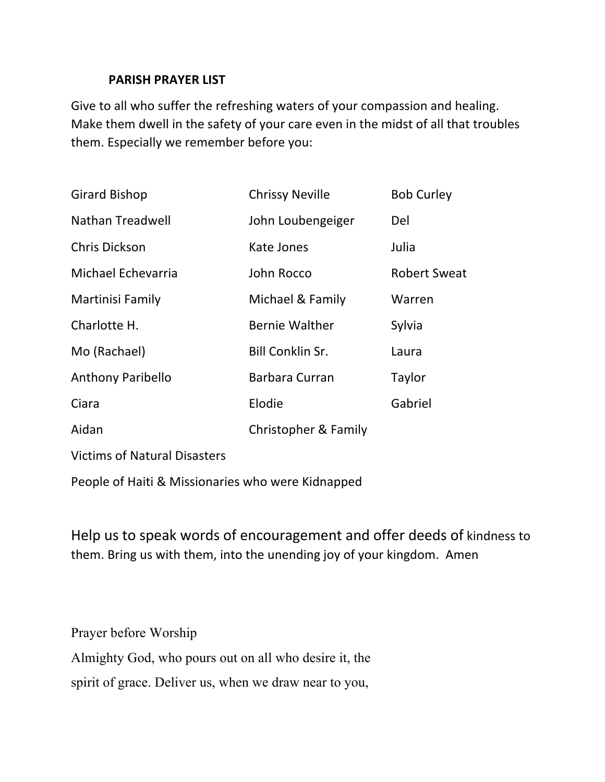# **PARISH PRAYER LIST**

Give to all who suffer the refreshing waters of your compassion and healing. Make them dwell in the safety of your care even in the midst of all that troubles them. Especially we remember before you:

| <b>Girard Bishop</b>                | <b>Chrissy Neville</b>  | <b>Bob Curley</b>   |
|-------------------------------------|-------------------------|---------------------|
| Nathan Treadwell                    | John Loubengeiger       | Del                 |
| <b>Chris Dickson</b>                | Kate Jones              | Julia               |
| Michael Echevarria                  | John Rocco              | <b>Robert Sweat</b> |
| Martinisi Family                    | Michael & Family        | Warren              |
| Charlotte H.                        | <b>Bernie Walther</b>   | Sylvia              |
| Mo (Rachael)                        | <b>Bill Conklin Sr.</b> | Laura               |
| <b>Anthony Paribello</b>            | Barbara Curran          | Taylor              |
| Ciara                               | Elodie                  | Gabriel             |
| Aidan                               | Christopher & Family    |                     |
| <b>Victims of Natural Disasters</b> |                         |                     |

People of Haiti & Missionaries who were Kidnapped

Help us to speak words of encouragement and offer deeds of kindness to them. Bring us with them, into the unending joy of your kingdom. Amen

Prayer before Worship Almighty God, who pours out on all who desire it, the spirit of grace. Deliver us, when we draw near to you,